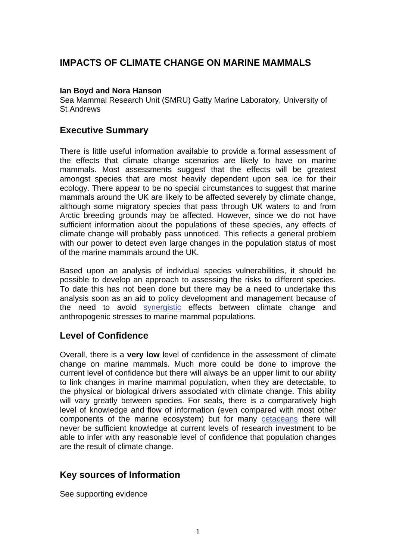# **IMPACTS OF CLIMATE CHANGE ON MARINE MAMMALS**

### **Ian Boyd and Nora Hanson**

Sea Mammal Research Unit (SMRU) Gatty Marine Laboratory, University of St Andrews

## **Executive Summary**

There is little useful information available to provide a formal assessment of the effects that climate change scenarios are likely to have on marine mammals. Most assessments suggest that the effects will be greatest amongst species that are most heavily dependent upon sea ice for their ecology. There appear to be no special circumstances to suggest that marine mammals around the UK are likely to be affected severely by climate change, although some migratory species that pass through UK waters to and from Arctic breeding grounds may be affected. However, since we do not have sufficient information about the populations of these species, any effects of climate change will probably pass unnoticed. This reflects a general problem with our power to detect even large changes in the population status of most of the marine mammals around the UK.

Based upon an analysis of individual species vulnerabilities, it should be possible to develop an approach to assessing the risks to different species. To date this has not been done but there may be a need to undertake this analysis soon as an aid to policy development and management because of the need to avoid [synergistic](http://www.mccip.org.uk/arc/glossary.htm) effects between climate change and anthropogenic stresses to marine mammal populations.

## **Level of Confidence**

Overall, there is a **very low** level of confidence in the assessment of climate change on marine mammals. Much more could be done to improve the current level of confidence but there will always be an upper limit to our ability to link changes in marine mammal population, when they are detectable, to the physical or biological drivers associated with climate change. This ability will vary greatly between species. For seals, there is a comparatively high level of knowledge and flow of information (even compared with most other components of the marine ecosystem) but for many [cetaceans t](http://www.mccip.org.uk/arc/glossary.htm)here will never be sufficient knowledge at current levels of research investment to be able to infer with any reasonable level of confidence that population changes are the result of climate change.

## **Key sources of Information**

See supporting evidence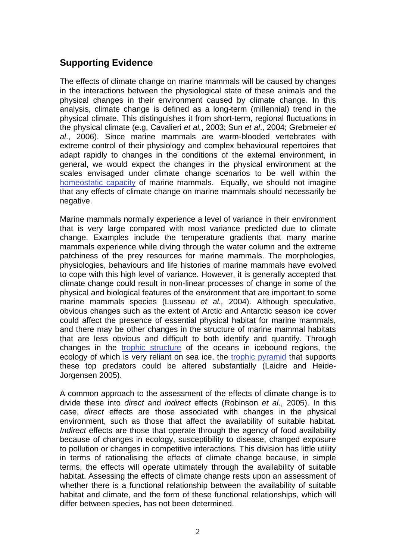# **Supporting Evidence**

The effects of climate change on marine mammals will be caused by changes in the interactions between the physiological state of these animals and the physical changes in their environment caused by climate change. In this analysis, climate change is defined as a long-term (millennial) trend in the physical climate. This distinguishes it from short-term, regional fluctuations in the physical climate (e.g. Cavalieri *et al.*, 2003; Sun *et al*., 2004; Grebmeier *et al*., 2006). Since marine mammals are warm-blooded vertebrates with extreme control of their physiology and complex behavioural repertoires that adapt rapidly to changes in the conditions of the external environment, in general, we would expect the changes in the physical environment at the scales envisaged under climate change scenarios to be well within the [homeostatic capacity](http://www.mccip.org.uk/arc/glossary.htm) of marine mammals. Equally, we should not imagine that any effects of climate change on marine mammals should necessarily be negative.

Marine mammals normally experience a level of variance in their environment that is very large compared with most variance predicted due to climate change. Examples include the temperature gradients that many marine mammals experience while diving through the water column and the extreme patchiness of the prey resources for marine mammals. The morphologies, physiologies, behaviours and life histories of marine mammals have evolved to cope with this high level of variance. However, it is generally accepted that climate change could result in non-linear processes of change in some of the physical and biological features of the environment that are important to some marine mammals species (Lusseau *et al.,* 2004). Although speculative, obvious changes such as the extent of Arctic and Antarctic season ice cover could affect the presence of essential physical habitat for marine mammals, and there may be other changes in the structure of marine mammal habitats that are less obvious and difficult to both identify and quantify. Through changes in the [trophic structure](http://www.mccip.org.uk/arc/glossary.htm) of the oceans in icebound regions, the ecology of which is very reliant on sea ice, the [trophic pyramid](http://www.mccip.org.uk/arc/glossary.htm) that supports these top predators could be altered substantially (Laidre and Heide-Jorgensen 2005).

A common approach to the assessment of the effects of climate change is to divide these into *direct* and *indirect* effects (Robinson *et al*., 2005). In this case, *direct* effects are those associated with changes in the physical environment, such as those that affect the availability of suitable habitat. *Indirect* effects are those that operate through the agency of food availability because of changes in ecology, susceptibility to disease, changed exposure to pollution or changes in competitive interactions. This division has little utility in terms of rationalising the effects of climate change because, in simple terms, the effects will operate ultimately through the availability of suitable habitat. Assessing the effects of climate change rests upon an assessment of whether there is a functional relationship between the availability of suitable habitat and climate, and the form of these functional relationships, which will differ between species, has not been determined.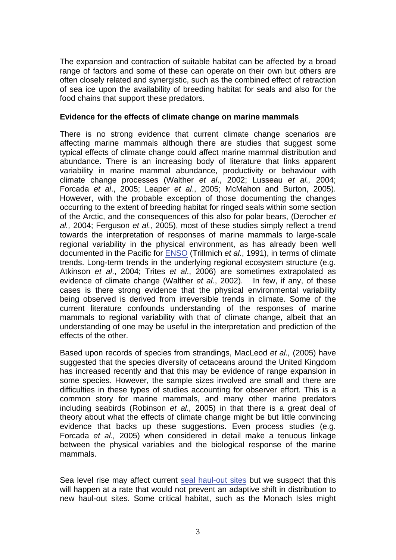The expansion and contraction of suitable habitat can be affected by a broad range of factors and some of these can operate on their own but others are often closely related and synergistic, such as the combined effect of retraction of sea ice upon the availability of breeding habitat for seals and also for the food chains that support these predators.

#### **Evidence for the effects of climate change on marine mammals**

There is no strong evidence that current climate change scenarios are affecting marine mammals although there are studies that suggest some typical effects of climate change could affect marine mammal distribution and abundance. There is an increasing body of literature that links apparent variability in marine mammal abundance, productivity or behaviour with climate change processes (Walther *et al*., 2002; Lusseau *et al.,* 2004; Forcada *et al*., 2005; Leaper *et al*., 2005; McMahon and Burton, 2005). However, with the probable exception of those documenting the changes occurring to the extent of breeding habitat for ringed seals within some section of the Arctic, and the consequences of this also for polar bears, (Derocher *et al.,* 2004; Ferguson *et al.,* 2005), most of these studies simply reflect a trend towards the interpretation of responses of marine mammals to large-scale regional variability in the physical environment, as has already been well documented in the Pacific for [ENSO \(](http://www.mccip.org.uk/arc/glossary.htm)Trillmich *et al*., 1991), in terms of climate trends. Long-term trends in the underlying regional ecosystem structure (e.g. Atkinson *et al*., 2004; Trites *et al*., 2006) are sometimes extrapolated as evidence of climate change (Walther *et al*., 2002). In few, if any, of these cases is there strong evidence that the physical environmental variability being observed is derived from irreversible trends in climate. Some of the current literature confounds understanding of the responses of marine mammals to regional variability with that of climate change, albeit that an understanding of one may be useful in the interpretation and prediction of the effects of the other.

Based upon records of species from strandings, MacLeod *et al.,* (2005) have suggested that the species diversity of cetaceans around the United Kingdom has increased recently and that this may be evidence of range expansion in some species. However, the sample sizes involved are small and there are difficulties in these types of studies accounting for observer effort. This is a common story for marine mammals, and many other marine predators including seabirds (Robinson *et al.,* 2005) in that there is a great deal of theory about what the effects of climate change might be but little convincing evidence that backs up these suggestions. Even process studies (e.g. Forcada *et al.,* 2005) when considered in detail make a tenuous linkage between the physical variables and the biological response of the marine mammals.

Sea level rise may affect curren[t seal haul-out sites bu](http://www.mccip.org.uk/arc/glossary.htm)t we suspect that this will happen at a rate that would not prevent an adaptive shift in distribution to new haul-out sites. Some critical habitat, such as the Monach Isles might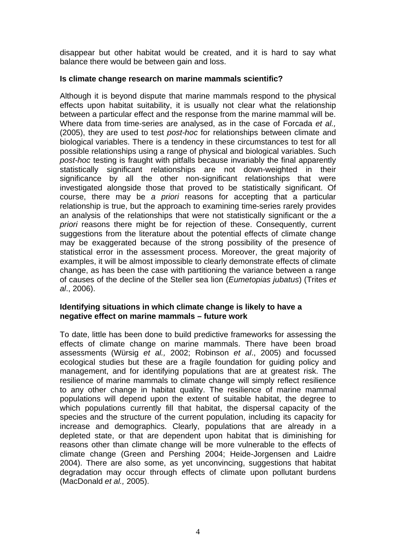disappear but other habitat would be created, and it is hard to say what balance there would be between gain and loss.

### **Is climate change research on marine mammals scientific?**

Although it is beyond dispute that marine mammals respond to the physical effects upon habitat suitability, it is usually not clear what the relationship between a particular effect and the response from the marine mammal will be. Where data from time-series are analysed, as in the case of Forcada *et al.,* (2005), they are used to test *post-hoc* for relationships between climate and biological variables. There is a tendency in these circumstances to test for all possible relationships using a range of physical and biological variables. Such *post-hoc* testing is fraught with pitfalls because invariably the final apparently statistically significant relationships are not down-weighted in their significance by all the other non-significant relationships that were investigated alongside those that proved to be statistically significant. Of course, there may be *a priori* reasons for accepting that a particular relationship is true, but the approach to examining time-series rarely provides an analysis of the relationships that were not statistically significant or the *a priori* reasons there might be for rejection of these. Consequently, current suggestions from the literature about the potential effects of climate change may be exaggerated because of the strong possibility of the presence of statistical error in the assessment process. Moreover, the great majority of examples, it will be almost impossible to clearly demonstrate effects of climate change, as has been the case with partitioning the variance between a range of causes of the decline of the Steller sea lion (*Eumetopias jubatus*) (Trites *et al*., 2006).

### **Identifying situations in which climate change is likely to have a negative effect on marine mammals – future work**

To date, little has been done to build predictive frameworks for assessing the effects of climate change on marine mammals. There have been broad assessments (Würsig *et al.,* 2002; Robinson *et al*., 2005) and focussed ecological studies but these are a fragile foundation for guiding policy and management, and for identifying populations that are at greatest risk. The resilience of marine mammals to climate change will simply reflect resilience to any other change in habitat quality. The resilience of marine mammal populations will depend upon the extent of suitable habitat, the degree to which populations currently fill that habitat, the dispersal capacity of the species and the structure of the current population, including its capacity for increase and demographics. Clearly, populations that are already in a depleted state, or that are dependent upon habitat that is diminishing for reasons other than climate change will be more vulnerable to the effects of climate change (Green and Pershing 2004; Heide-Jorgensen and Laidre 2004). There are also some, as yet unconvincing, suggestions that habitat degradation may occur through effects of climate upon pollutant burdens (MacDonald *et al.,* 2005).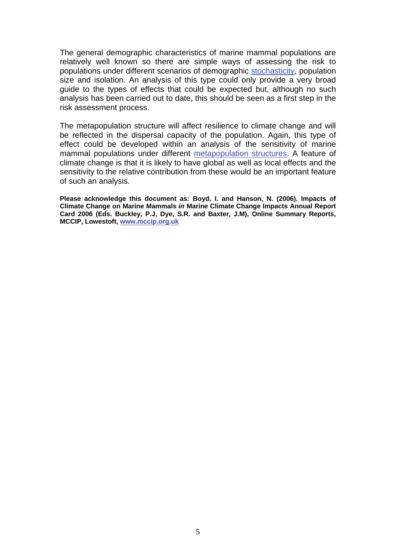The general demographic characteristics of marine mammal populations are relatively well known so there are simple ways of assessing the risk to populations under different scenarios of demographic [stochasticity,](http://www.mccip.org.uk/arc/glossary.htm) population size and isolation. An analysis of this type could only provide a very broad guide to the types of effects that could be expected but, although no such analysis has been carried out to date, this should be seen as a first step in the risk assessment process.

The metapopulation structure will affect resilience to climate change and will be reflected in the dispersal capacity of the population. Again, this type of effect could be developed within an analysis of the sensitivity of marine mammal populations under different [metapopulation structures.](http://www.mccip.org.uk/arc/glossary.htm) A feature of climate change is that it is likely to have global as well as local effects and the sensitivity to the relative contribution from these would be an important feature of such an analysis.

**Please acknowledge this document as: Boyd, I. and Hanson, N. (2006). Impacts of Climate Change on Marine Mammals** *in* **Marine Climate Change Impacts Annual Report Card 2006 (Eds. Buckley, P.J, Dye, S.R. and Baxter, J.M), Online Summary Reports, MCCIP, Lowestoft, [www.mccip.org.uk](http://www.mccip.org.uk/)**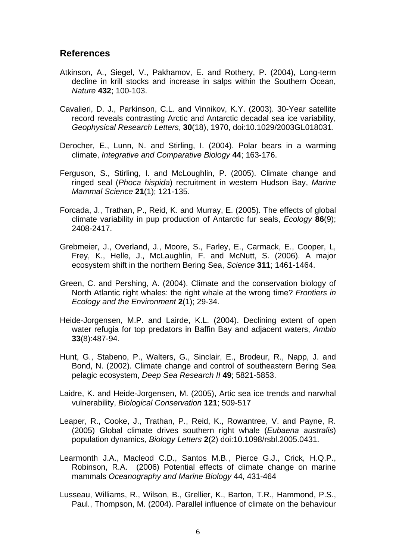### **References**

- Atkinson, A., Siegel, V., Pakhamov, E. and Rothery, P. (2004), Long-term decline in krill stocks and increase in salps within the Southern Ocean, *Nature* **432**; 100-103.
- Cavalieri, D. J., Parkinson, C.L. and Vinnikov, K.Y. (2003). 30-Year satellite record reveals contrasting Arctic and Antarctic decadal sea ice variability, *Geophysical Research Letters*, **30**(18), 1970, doi:10.1029/2003GL018031.
- Derocher, E., Lunn, N. and Stirling, I. (2004). Polar bears in a warming climate, *Integrative and Comparative Biology* **44**; 163-176.
- Ferguson, S., Stirling, I. and McLoughlin, P. (2005). Climate change and ringed seal (*Phoca hispida*) recruitment in western Hudson Bay, *Marine Mammal Science* **21**(1); 121-135.
- Forcada, J., Trathan, P., Reid, K. and Murray, E. (2005). The effects of global climate variability in pup production of Antarctic fur seals, *Ecology* **86**(9); 2408-2417.
- Grebmeier, J., Overland, J., Moore, S., Farley, E., Carmack, E., Cooper, L, Frey, K., Helle, J., McLaughlin, F. and McNutt, S. (2006). A major ecosystem shift in the northern Bering Sea, *Science* **311**; 1461-1464.
- Green, C. and Pershing, A. (2004). Climate and the conservation biology of North Atlantic right whales: the right whale at the wrong time? *Frontiers in Ecology and the Environment* **2**(1); 29-34.
- Heide-Jorgensen, M.P. and Lairde, K.L. (2004). Declining extent of open water refugia for top predators in Baffin Bay and adjacent waters, *Ambio* **33**(8):487-94.
- Hunt, G., Stabeno, P., Walters, G., Sinclair, E., Brodeur, R., Napp, J. and Bond, N. (2002). Climate change and control of southeastern Bering Sea pelagic ecosystem, *Deep Sea Research II* **49**; 5821-5853.
- Laidre, K. and Heide-Jorgensen, M. (2005), Artic sea ice trends and narwhal vulnerability, *Biological Conservation* **121**; 509-517
- Leaper, R., Cooke, J., Trathan, P., Reid, K., Rowantree, V. and Payne, R. (2005) Global climate drives southern right whale (*Eubaena australis*) population dynamics, *Biology Letters* **2**(2) doi:10.1098/rsbl.2005.0431.
- Learmonth J.A., Macleod C.D., Santos M.B., Pierce G.J., Crick, H.Q.P., Robinson, R.A. (2006) Potential effects of climate change on marine mammals *Oceanography and Marine Biology* 44, 431-464
- Lusseau, Williams, R., Wilson, B., Grellier, K., Barton, T.R., Hammond, P.S., Paul., Thompson, M. (2004). Parallel influence of climate on the behaviour